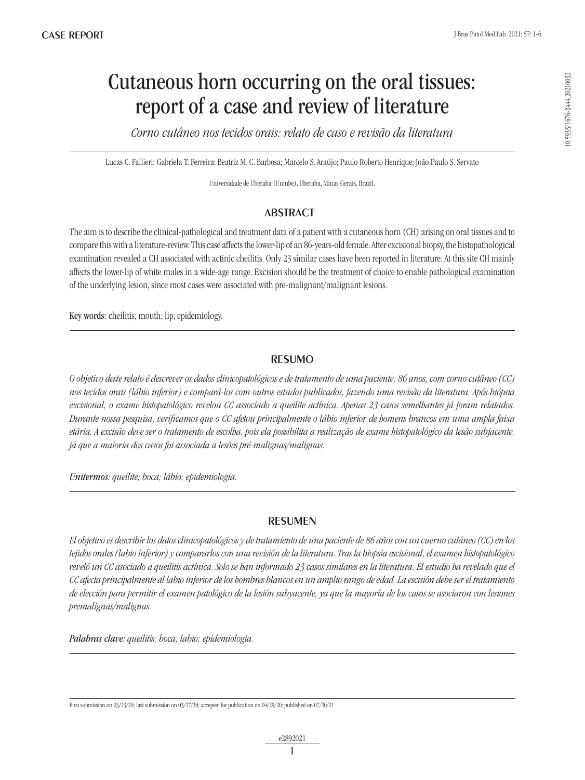# Cutaneous horn occurring on the oral tissues: report of a case and review of literature

*Corno cutâneo nos tecidos orais: relato de caso e revisão da literatura*

Lucas C. Fallieri; Gabriela T. Ferreira; Beatriz M. C. Barbosa; Marcelo S. Araújo; Paulo Roberto Henrique; João Paulo S. Servato

Universidade de Uberaba (Uniube), Uberaba, Minas Gerais, Brazil.

## ABSTRACT

The aim is to describe the clinical-pathological and treatment data of a patient with a cutaneous horn (CH) arising on oral tissues and to compare this with a literature-review. This case affects the lower-lip of an 86-years-old female. After excisional biopsy, the histopathological examination revealed a CH associated with actinic cheilitis. Only 23 similar cases have been reported in literature. At this site CH mainly affects the lower-lip of white males in a wide-age range. Excision should be the treatment of choice to enable pathological examination of the underlying lesion, since most cases were associated with pre-malignant/malignant lesions.

Key words: cheilitis; mouth; lip; epidemiology.

## RESUMO

*O objetivo deste relato é descrever os dados clinicopatológicos e de tratamento de uma paciente, 86 anos, com corno cutâneo (CC) nos tecidos orais (lábio inferior) e compará-los com outros estudos publicados, fazendo uma revisão da literatura. Após biópsia excisional, o exame histopatológico revelou CC associado a queilite actínica. Apenas 23 casos semelhantes já foram relatados. Durante nossa pesquisa, verificamos que o CC afetou principalmente o lábio inferior de homens brancos em uma ampla faixa etária. A excisão deve ser o tratamento de escolha, pois ela possibilita a realização de exame histopatológico da lesão subjacente, já que a maioria dos casos foi associada a lesões pré-malignas/malignas.*

*Unitermos: queilite; boca; lábio; epidemiologia.*

## RESUMEN

*El objetivo es describir los datos clinicopatológicos y de tratamiento de una paciente de 86 años con un cuerno cutáneo (CC) en los tejidos orales (labio inferior) y compararlos con una revisión de la literatura. Tras la biopsia escisional, el examen histopatológico reveló un CC asociado a queilitis actínica. Solo se han informado 23 casos similares en la literatura. El estudio ha revelado que el CC afecta principalmente al labio inferior de los hombres blancos en un amplio rango de edad. La escisión debe ser el tratamiento de elección para permitir el examen patológico de la lesión subyacente, ya que la mayoría de los casos se asociaron con lesiones premalignas/malignas.*

*Palabras clave: queilitis; boca; labio; epidemiologia.*

First submission on 03/23/20; last submission on 03/27/20; accepted for publication on 04/29/20; published on 07/20/21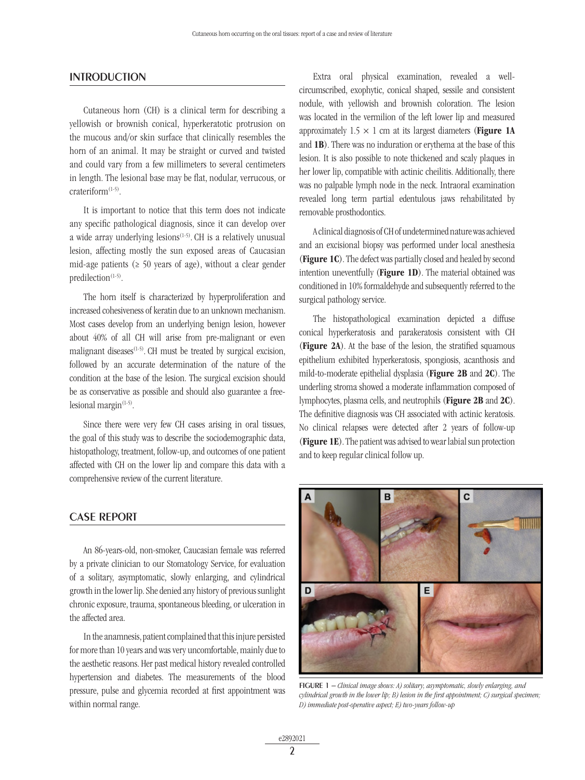#### **INTRODUCTION**

Cutaneous horn (CH) is a clinical term for describing a yellowish or brownish conical, hyperkeratotic protrusion on the mucous and/or skin surface that clinically resembles the horn of an animal. It may be straight or curved and twisted and could vary from a few millimeters to several centimeters in length. The lesional base may be flat, nodular, verrucous, or crateriform(1-5).

It is important to notice that this term does not indicate any specific pathological diagnosis, since it can develop over a wide array underlying lesions $(1-5)$ . CH is a relatively unusual lesion, affecting mostly the sun exposed areas of Caucasian mid-age patients ( $\geq 50$  years of age), without a clear gender predilection<sup>(1-5)</sup>.

The horn itself is characterized by hyperproliferation and increased cohesiveness of keratin due to an unknown mechanism. Most cases develop from an underlying benign lesion, however about 40% of all CH will arise from pre-malignant or even malignant diseases<sup> $(1-5)$ </sup>. CH must be treated by surgical excision, followed by an accurate determination of the nature of the condition at the base of the lesion. The surgical excision should be as conservative as possible and should also guarantee a freelesional margin $(1-5)$ .

Since there were very few CH cases arising in oral tissues, the goal of this study was to describe the sociodemographic data, histopathology, treatment, follow-up, and outcomes of one patient affected with CH on the lower lip and compare this data with a comprehensive review of the current literature.

## CASE REPORT

An 86-years-old, non-smoker, Caucasian female was referred by a private clinician to our Stomatology Service, for evaluation of a solitary, asymptomatic, slowly enlarging, and cylindrical growth in the lower lip. She denied any history of previous sunlight chronic exposure, trauma, spontaneous bleeding, or ulceration in the affected area.

In the anamnesis, patient complained that this injure persisted for more than 10 years and was very uncomfortable, mainly due to the aesthetic reasons. Her past medical history revealed controlled hypertension and diabetes. The measurements of the blood pressure, pulse and glycemia recorded at first appointment was within normal range.

Extra oral physical examination, revealed a wellcircumscribed, exophytic, conical shaped, sessile and consistent nodule, with yellowish and brownish coloration. The lesion was located in the vermilion of the left lower lip and measured approximately  $1.5 \times 1$  cm at its largest diameters (**Figure 1A** and 1B). There was no induration or erythema at the base of this lesion. It is also possible to note thickened and scaly plaques in her lower lip, compatible with actinic cheilitis. Additionally, there was no palpable lymph node in the neck. Intraoral examination revealed long term partial edentulous jaws rehabilitated by removable prosthodontics.

A clinical diagnosis of CH of undetermined nature was achieved and an excisional biopsy was performed under local anesthesia (Figure 1C). The defect was partially closed and healed by second intention uneventfully (Figure 1D). The material obtained was conditioned in 10% formaldehyde and subsequently referred to the surgical pathology service.

The histopathological examination depicted a diffuse conical hyperkeratosis and parakeratosis consistent with CH (Figure 2A). At the base of the lesion, the stratified squamous epithelium exhibited hyperkeratosis, spongiosis, acanthosis and mild-to-moderate epithelial dysplasia (Figure 2B and 2C). The underling stroma showed a moderate inflammation composed of lymphocytes, plasma cells, and neutrophils (Figure 2B and 2C). The definitive diagnosis was CH associated with actinic keratosis. No clinical relapses were detected after 2 years of follow-up (Figure 1E). The patient was advised to wear labial sun protection and to keep regular clinical follow up.



FIGURE 1 – *Clinical image shows: A) solitary, asymptomatic, slowly enlarging, and cylindrical growth in the lower lip; B) lesion in the first appointment; C) surgical specimen; D) immediate post-operative aspect; E) two-years follow-up*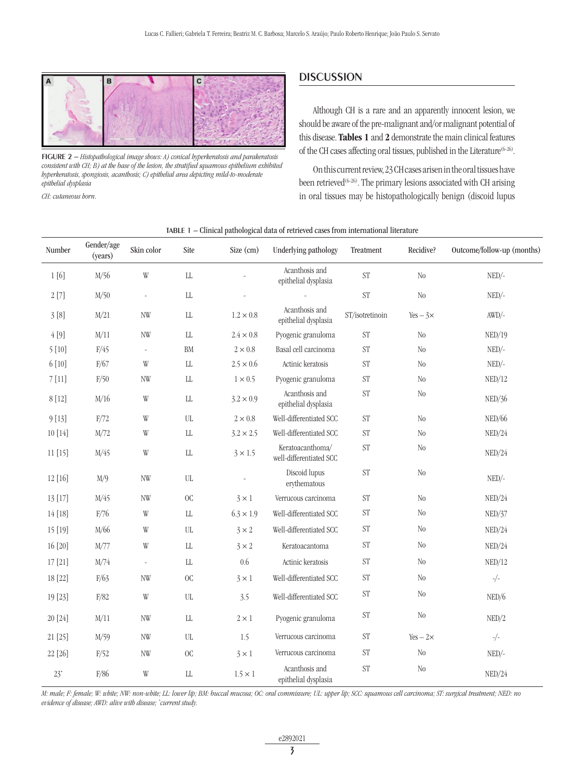

FIGURE 2 – *Histopathological image shows: A) conical hyperkeratosis and parakeratosis consistent with CH; B) at the base of the lesion, the stratified squamous epithelium exhibited hyperkeratosis, spongiosis, acanthosis; C) epithelial area depicting mild-to-moderate epithelial dysplasia*

*CH: cutaneous horn.*

## **DISCUSSION**

Although CH is a rare and an apparently innocent lesion, we should be aware of the pre-malignant and/or malignant potential of this disease. Tables 1 and 2 demonstrate the main clinical features of the CH cases affecting oral tissues, published in the Literature<sup>(6-26)</sup>.

On this current review, 23 CH cases arisen in the oral tissues have been retrieved<sup>(6-26)</sup>. The primary lesions associated with CH arising in oral tissues may be histopathologically benign (discoid lupus

| Number  | Gender/age<br>(years) | Skin color               | Site                     | Size (cm)        | Underlying pathology                        | Treatment           | Recidive?        | Outcome/follow-up (months) |
|---------|-----------------------|--------------------------|--------------------------|------------------|---------------------------------------------|---------------------|------------------|----------------------------|
| 1[6]    | M/56                  | W                        | ${\rm LL}$               |                  | Acanthosis and<br>epithelial dysplasia      | <b>ST</b>           | $\rm No$         | $NED/-$                    |
| 2[7]    | M/50                  | $\blacksquare$           | $\rm{LL}$                |                  |                                             | <b>ST</b>           | N <sub>0</sub>   | $NED/-$                    |
| 3[8]    | M/21                  | <b>NW</b>                | ${\rm LL}$               | $1.2 \times 0.8$ | Acanthosis and<br>epithelial dysplasia      | ST/isotretinoin     | $Yes - 3 \times$ | $AWD/-$                    |
| 4[9]    | M/11                  | <b>NW</b>                | $\rm{LL}$                | $2.4 \times 0.8$ | Pyogenic granuloma                          | <b>ST</b>           | N <sub>0</sub>   | NED/19                     |
| 5[10]   | F/45                  | $\overline{\phantom{a}}$ | ${\rm BM}$               | $2\times0.8$     | Basal cell carcinoma                        | <b>ST</b>           | N <sub>0</sub>   | $NED/-$                    |
| 6[10]   | F/67                  | W                        | ${\rm LL}$               | $2.5 \times 0.6$ | Actinic keratosis                           | <b>ST</b>           | N <sub>0</sub>   | $NED/-$                    |
| 7[11]   | F/50                  | <b>NW</b>                | $\rm{LL}$                | $1 \times 0.5$   | Pyogenic granuloma                          | <b>ST</b>           | N <sub>0</sub>   | NED/12                     |
| 8 [12]  | M/16                  | W                        | ${\rm LL}$               | $3.2 \times 0.9$ | Acanthosis and<br>epithelial dysplasia      | <b>ST</b>           | N <sub>0</sub>   | NED/36                     |
| 9[13]   | F/72                  | W                        | $\ensuremath{\text{UL}}$ | $2\times0.8$     | Well-differentiated SCC                     | $\mbox{ST}$         | $\rm No$         | NED/66                     |
| 10 [14] | M/72                  | W                        | $\rm{LL}$                | $3.2 \times 2.5$ | Well-differentiated SCC                     | <b>ST</b>           | N <sub>0</sub>   | NED/24                     |
| 11[15]  | M/45                  | W                        | ${\rm LL}$               | $3 \times 1.5$   | Keratoacanthoma/<br>well-differentiated SCC | <b>ST</b>           | N <sub>0</sub>   | NED/24                     |
| 12 [16] | M/9                   | <b>NW</b>                | UL                       |                  | Discoid lupus<br>erythematous               | <b>ST</b>           | N <sub>0</sub>   | $NED/-$                    |
| 13 [17] | M/45                  | NW                       | O <sub>C</sub>           | $3 \times 1$     | Verrucous carcinoma                         | <b>ST</b>           | N <sub>0</sub>   | NED/24                     |
| 14 [18] | F/76                  | W                        | $\rm{LL}$                | $6.3 \times 1.9$ | Well-differentiated SCC                     | $\operatorname{ST}$ | N <sub>0</sub>   | NED/37                     |
| 15 [19] | M/66                  | W                        | $UL$                     | $3 \times 2$     | Well-differentiated SCC                     | <b>ST</b>           | N <sub>0</sub>   | NED/24                     |
| 16 [20] | M/77                  | W                        | ${\rm LL}$               | $3 \times 2$     | Keratoacantoma                              | $\mathrm{ST}$       | N <sub>0</sub>   | NED/24                     |
| 17 [21] | M/74                  | $\bar{\phantom{a}}$      | ${\rm L}{\rm L}$         | $0.6\,$          | Actinic keratosis                           | <b>ST</b>           | N <sub>0</sub>   | NED/12                     |
| 18 [22] | F/63                  | <b>NW</b>                | O <sub>C</sub>           | $3 \times 1$     | Well-differentiated SCC                     | <b>ST</b>           | N <sub>0</sub>   | $-/-$                      |
| 19 [23] | F/82                  | W                        | $\rm UL$                 | 3.5              | Well-differentiated SCC                     | <b>ST</b>           | N <sub>0</sub>   | NED/6                      |
| 20 [24] | M/11                  | NW                       | ${\rm L}{\rm L}$         | $2 \times 1$     | Pyogenic granuloma                          | <b>ST</b>           | N <sub>0</sub>   | NED/2                      |
| 21 [25] | M/59                  | <b>NW</b>                | $\ensuremath{\text{UL}}$ | 1.5              | Verrucous carcinoma                         | $\operatorname{ST}$ | $Yes - 2 \times$ | $-/-$                      |
| 22 [26] | F/52                  | NW                       | O <sub>C</sub>           | $3 \times 1$     | Verrucous carcinoma                         | ST                  | N <sub>0</sub>   | $NED/-$                    |
| $23*$   | F/86                  | W                        | ${\rm LL}$               | $1.5 \times 1$   | Acanthosis and<br>epithelial dysplasia      | <b>ST</b>           | $\rm No$         | NED/24                     |

#### TABLE 1 – Clinical pathological data of retrieved cases from international literature

*M: male; F: female; W: white; NW: non-white; LL: lower lip; BM: buccal mucosa; OC: oral commissure; UL: upper lip; SCC: squamous cell carcinoma; ST: surgical treatment; NED: no evidence of disease; AWD: alive with disease; \* current study.*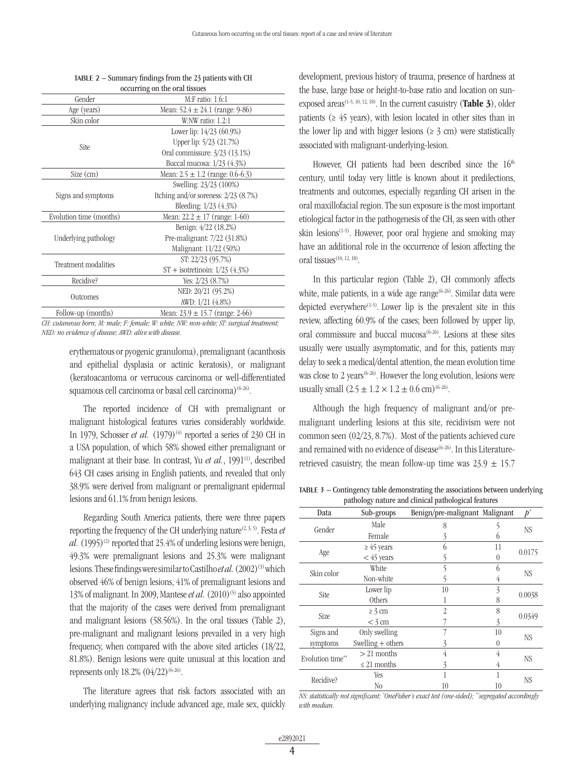| Gender                  | $M.F$ ratio: 1.6:1                                                                         |  |  |
|-------------------------|--------------------------------------------------------------------------------------------|--|--|
| Age (years)             | Mean: $52.4 \pm 24.1$ (range: 9-86)                                                        |  |  |
| Skin color              | W:NW ratio: $1.2:1$                                                                        |  |  |
|                         | Lower lip: $14/23$ (60.9%)                                                                 |  |  |
|                         | Upper lip: 5/23 (21.7%)                                                                    |  |  |
| Site                    | Oral commissure: 3/23 (13.1%)                                                              |  |  |
|                         | Buccal mucosa: 1/23 (4.3%)                                                                 |  |  |
| Size (cm)               | Mean: $2.5 \pm 1.2$ (range: 0.6-6.3)                                                       |  |  |
|                         | Swelling: 23/23 (100%)                                                                     |  |  |
| Signs and symptoms      | Itching and/or soreness: $2/23$ (8.7%)                                                     |  |  |
|                         | Bleeding: 1/23 (4.3%)                                                                      |  |  |
| Evolution time (months) | Mean: $22.2 \pm 17$ (range: 1-60)                                                          |  |  |
|                         | Benign: $4/22$ (18.2%)                                                                     |  |  |
| Underlying pathology    | Pre-malignant: 7/22 (31.8%)                                                                |  |  |
|                         | Malignant: 11/22 (50%)                                                                     |  |  |
|                         | ST: 22/23 (95.7%)                                                                          |  |  |
| Treatment modalities    | $ST +$ isotretinoin: $1/23$ (4.3%)                                                         |  |  |
| Recidive?               | Yes: $2/23$ $(8.7%)$                                                                       |  |  |
|                         | NED: 20/21 (95.2%)                                                                         |  |  |
| <b>Outcomes</b>         | AWD: $1/21$ (4.8%)                                                                         |  |  |
| Follow-up (months)      | Mean: $23.9 \pm 15.7$ (range: 2-66)                                                        |  |  |
|                         | $CH: cutaneous born: M: male: F: female: W: white: NW: non-white: ST: surgical treatment:$ |  |  |

| TABLE $2$ – Summary findings from the 23 patients with CH |
|-----------------------------------------------------------|
| occurring on the oral tissues                             |

*CH: cutaneous horn; M: male; F: female; W: white; NW: non-white; ST: surgical treatment; NED: no evidence of disease; AWD: alive with disease.*

> erythematous or pyogenic granuloma), premalignant (acanthosis and epithelial dysplasia or actinic keratosis), or malignant (keratoacantoma or verrucous carcinoma or well-differentiated squamous cell carcinoma or basal cell carcinoma) $(6-26)$ .

> The reported incidence of CH with premalignant or malignant histological features varies considerably worldwide. In 1979, Schosser *et al.*  $(1979)^{(4)}$  reported a series of 230 CH in a USA population, of which 58% showed either premalignant or malignant at their base. In contrast, Yu *et al.*, 1991<sup>(1)</sup>, described 643 CH cases arising in English patients, and revealed that only 38.9% were derived from malignant or premalignant epidermal lesions and 61.1% from benign lesions.

> Regarding South America patients, there were three papers reporting the frequency of the CH underlying nature<sup> $(2, 3, 5)$ </sup>. Festa *et al.*  $(1995)^{(2)}$  reported that 25.4% of underling lesions were benign, 49.3% were premalignant lesions and 25.3% were malignant lesions. These findings were similar to Castilho *et al.* (2002)<sup>(3)</sup> which observed 46% of benign lesions, 41% of premalignant lesions and 13% of malignant. In 2009, Mantese *et al.* (2010)<sup>(5)</sup> also appointed that the majority of the cases were derived from premalignant and malignant lesions (58.56%). In the oral tissues (Table 2), pre-malignant and malignant lesions prevailed in a very high frequency, when compared with the above sited articles (18/22, 81.8%). Benign lesions were quite unusual at this location and represents only  $18.2\%$   $(04/22)^{(6-26)}$ .

> The literature agrees that risk factors associated with an underlying malignancy include advanced age, male sex, quickly

development, previous history of trauma, presence of hardness at the base, large base or height-to-base ratio and location on sunexposed areas<sup> $(1-5, 10, 12, 18)$ </sup>. In the current casuistry (**Table 3**), older patients ( $\geq 45$  years), with lesion located in other sites than in the lower lip and with bigger lesions ( $\geq$  3 cm) were statistically associated with malignant-underlying-lesion.

However, CH patients had been described since the 16<sup>th</sup> century, until today very little is known about it predilections, treatments and outcomes, especially regarding CH arisen in the oral maxillofacial region. The sun exposure is the most important etiological factor in the pathogenesis of the CH, as seen with other skin lesions<sup> $(1-5)$ </sup>. However, poor oral hygiene and smoking may have an additional role in the occurrence of lesion affecting the oral tissues<sup>(10, 12, 18)</sup>.

In this particular region (Table 2), CH commonly affects white, male patients, in a wide age range<sup> $(6-26)$ </sup>. Similar data were depicted everywhere<sup> $(1-5)$ </sup>. Lower lip is the prevalent site in this review, affecting 60.9% of the cases; been followed by upper lip, oral commissure and buccal mucosa<sup>(6-26)</sup>. Lesions at these sites usually were usually asymptomatic, and for this, patients may delay to seek a medical/dental attention, the mean evolution time was close to 2 years<sup> $(6-26)$ </sup>. However the long evolution, lesions were usually small  $(2.5 \pm 1.2 \times 1.2 \pm 0.6 \text{ cm})^{(6-26)}$ .

Although the high frequency of malignant and/or premalignant underling lesions at this site, recidivism were not common seen (02/23, 8.7%). Most of the patients achieved cure and remained with no evidence of disease<sup> $(6-26)$ </sup>. In this Literatureretrieved casuistry, the mean follow-up time was  $23.9 \pm 15.7$ 

TABLE 3 – Contingency table demonstrating the associations between underlying pathology nature and clinical pathological features

| paaroron, maaro ami emmen paaroronen reader eo |                     |                                |    |           |  |  |  |  |  |  |
|------------------------------------------------|---------------------|--------------------------------|----|-----------|--|--|--|--|--|--|
| Data                                           | Sub-groups          | Benign/pre-malignant Malignant |    | h*        |  |  |  |  |  |  |
| Gender                                         | Male                | 8                              |    | NS.       |  |  |  |  |  |  |
|                                                | Female              | 3                              |    |           |  |  |  |  |  |  |
|                                                | $\geq 45$ years     |                                | 11 | 0.0175    |  |  |  |  |  |  |
| Age                                            | $<$ 45 years        | 5                              | 0  |           |  |  |  |  |  |  |
| Skin color                                     | White               | 5                              | 6  | <b>NS</b> |  |  |  |  |  |  |
|                                                | Non-white           | 5                              | 4  |           |  |  |  |  |  |  |
| Site                                           | Lower lip           | 10                             | 3  | 0.0038    |  |  |  |  |  |  |
|                                                | Others              |                                | 8  |           |  |  |  |  |  |  |
| Size                                           | $\geq$ 3 cm         | $\overline{2}$                 | 8  |           |  |  |  |  |  |  |
|                                                | $<$ 3 cm            |                                | 3  | 0.0349    |  |  |  |  |  |  |
| Signs and                                      | Only swelling       |                                | 10 | NS        |  |  |  |  |  |  |
| symptoms                                       | Swelling $+$ others | 3<br>$\theta$                  |    |           |  |  |  |  |  |  |
| Evolution time**                               | $> 21$ months       | 4                              | 4  | NS        |  |  |  |  |  |  |
|                                                | ≤ 21 months         | 3                              | 4  |           |  |  |  |  |  |  |
| Recidive?                                      | Yes                 |                                |    | NS        |  |  |  |  |  |  |
|                                                | No                  | 10                             | 10 |           |  |  |  |  |  |  |

*NS: statistically not significant; \* OneFisher's exact test (one-sided); \*\*segregated accordingly with median.*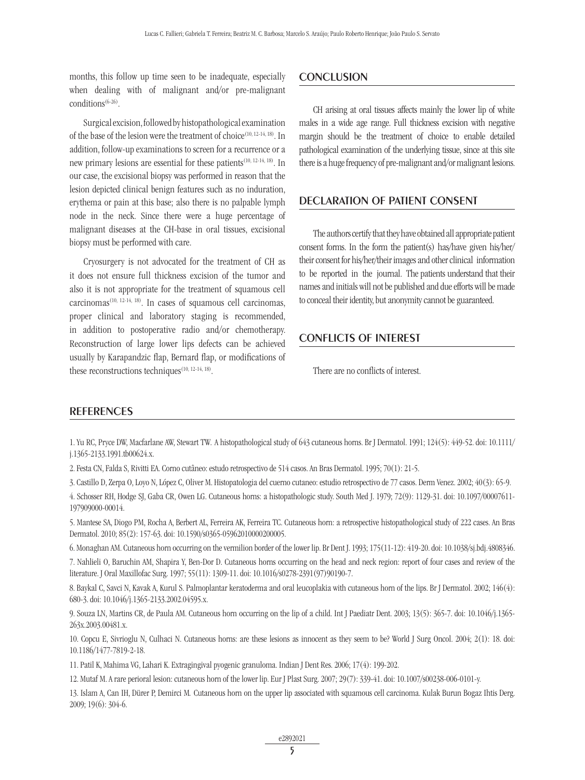months, this follow up time seen to be inadequate, especially when dealing with of malignant and/or pre-malignant  $conditions^{(6-26)}$ .

Surgical excision, followed by histopathological examination of the base of the lesion were the treatment of choice(10, 12-14, 18). In addition, follow-up examinations to screen for a recurrence or a new primary lesions are essential for these patients(10, 12-14, 18). In our case, the excisional biopsy was performed in reason that the lesion depicted clinical benign features such as no induration, erythema or pain at this base; also there is no palpable lymph node in the neck. Since there were a huge percentage of malignant diseases at the CH-base in oral tissues, excisional biopsy must be performed with care.

Cryosurgery is not advocated for the treatment of CH as it does not ensure full thickness excision of the tumor and also it is not appropriate for the treatment of squamous cell carcinomas<sup> $(10, 12-14, 18)$ </sup>. In cases of squamous cell carcinomas, proper clinical and laboratory staging is recommended, in addition to postoperative radio and/or chemotherapy. Reconstruction of large lower lips defects can be achieved usually by Karapandzic flap, Bernard flap, or modifications of these reconstructions techniques $(10, 12-14, 18)$ .

### **CONCLUSION**

CH arising at oral tissues affects mainly the lower lip of white males in a wide age range. Full thickness excision with negative margin should be the treatment of choice to enable detailed pathological examination of the underlying tissue, since at this site there is a huge frequency of pre-malignant and/or malignant lesions.

## DECLARATION OF PATIENT CONSENT

The authors certify that they have obtained all appropriate patient consent forms. In the form the patient(s) has/have given his/her/ their consent for his/her/their images and other clinical information to be reported in the journal. The patients understand that their names and initials will not be published and due efforts will be made to conceal their identity, but anonymity cannot be guaranteed.

## CONFLICTS OF INTEREST

There are no conflicts of interest.

#### **REFERENCES**

1. Yu RC, Pryce DW, Macfarlane AW, Stewart TW*.* A histopathological study of 643 cutaneous horns. Br J Dermatol. 1991; 124(5): 449-52. doi: 10.1111/ j.1365-2133.1991.tb00624.x.

2. Festa CN, Falda S, Rivitti EA. Corno cutâneo: estudo retrospectivo de 514 casos. An Bras Dermatol. 1995; 70(1): 21-5.

3. Castillo D, Zerpa O, Loyo N, López C, Oliver M. Histopatologia del cuerno cutaneo: estudio retrospectivo de 77 casos. Derm Venez. 2002; 40(3): 65-9.

4. Schosser RH, Hodge SJ, Gaba CR, Owen LG. Cutaneous horns: a histopathologic study. South Med J. 1979; 72(9): 1129-31. doi: 10.1097/00007611- 197909000-00014.

5. Mantese SA, Diogo PM, Rocha A, Berbert AL, Ferreira AK, Ferreira TC. Cutaneous horn: a retrospective histopathological study of 222 cases. An Bras Dermatol. 2010; 85(2): 157-63. doi: 10.1590/s0365-05962010000200005.

6. Monaghan AM. Cutaneous horn occurring on the vermilion border of the lower lip. Br Dent J. 1993; 175(11-12): 419-20. doi: 10.1038/sj.bdj.4808346. 7. Nahlieli O, Baruchin AM, Shapira Y, Ben-Dor D. Cutaneous horns occurring on the head and neck region: report of four cases and review of the literature. J Oral Maxillofac Surg. 1997; 55(11): 1309-11. doi: 10.1016/s0278-2391(97)90190-7.

8. Baykal C, Savci N, Kavak A, Kurul S. Palmoplantar keratoderma and oral leucoplakia with cutaneous horn of the lips. Br J Dermatol. 2002; 146(4): 680-3. doi: 10.1046/j.1365-2133.2002.04595.x.

9. Souza LN, Martins CR, de Paula AM. Cutaneous horn occurring on the lip of a child. Int J Paediatr Dent. 2003; 13(5): 365-7. doi: 10.1046/j.1365- 263x.2003.00481.x.

10. Copcu E, Sivrioglu N, Culhaci N. Cutaneous horns: are these lesions as innocent as they seem to be? World J Surg Oncol. 2004; 2(1): 18. doi: 10.1186/1477-7819-2-18.

11. Patil K, Mahima VG, Lahari K. Extragingival pyogenic granuloma. Indian J Dent Res. 2006; 17(4): 199-202.

12. Mutaf M. A rare perioral lesion: cutaneous horn of the lower lip. Eur J Plast Surg. 2007; 29(7): 339-41. doi: 10.1007/s00238-006-0101-y.

13. Islam A, Can IH, Dürer P, Demirci M*.* Cutaneous horn on the upper lip associated with squamous cell carcinoma. Kulak Burun Bogaz Ihtis Derg. 2009; 19(6): 304-6.